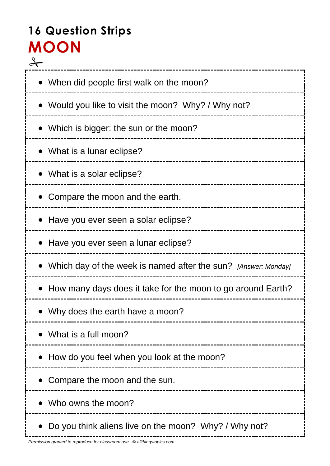# **16 Question Strips MOON**  $\rightarrow$

| • When did people first walk on the moon?                      |
|----------------------------------------------------------------|
| Would you like to visit the moon? Why? / Why not?              |
| • Which is bigger: the sun or the moon?                        |
| • What is a lunar eclipse?                                     |
| • What is a solar eclipse?                                     |
| Compare the moon and the earth.                                |
| Have you ever seen a solar eclipse?                            |
| Have you ever seen a lunar eclipse?                            |
| Which day of the week is named after the sun? [Answer: Monday] |
| How many days does it take for the moon to go around Earth?    |
| Why does the earth have a moon?                                |
| What is a full moon?                                           |
| How do you feel when you look at the moon?                     |
| Compare the moon and the sun.                                  |
| Who owns the moon?                                             |
| Do you think aliens live on the moon? Why? / Why not?          |